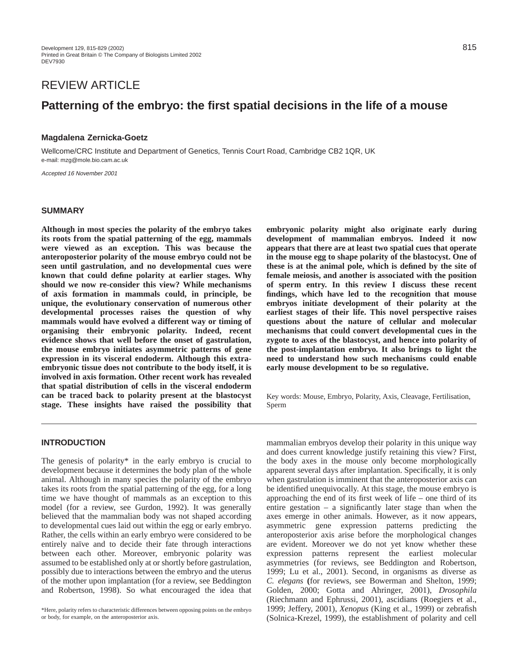# REVIEW ARTICLE

# **Patterning of the embryo: the first spatial decisions in the life of a mouse**

# **Magdalena Zernicka-Goetz**

Wellcome/CRC Institute and Department of Genetics, Tennis Court Road, Cambridge CB2 1QR, UK e-mail: mzg@mole.bio.cam.ac.uk

Accepted 16 November 2001

#### **SUMMARY**

**Although in most species the polarity of the embryo takes its roots from the spatial patterning of the egg, mammals were viewed as an exception. This was because the anteroposterior polarity of the mouse embryo could not be seen until gastrulation, and no developmental cues were known that could define polarity at earlier stages. Why should we now re-consider this view? While mechanisms of axis formation in mammals could, in principle, be unique, the evolutionary conservation of numerous other developmental processes raises the question of why mammals would have evolved a different way or timing of organising their embryonic polarity. Indeed, recent evidence shows that well before the onset of gastrulation, the mouse embryo initiates asymmetric patterns of gene expression in its visceral endoderm. Although this extraembryonic tissue does not contribute to the body itself, it is involved in axis formation. Other recent work has revealed that spatial distribution of cells in the visceral endoderm can be traced back to polarity present at the blastocyst stage. These insights have raised the possibility that**

**embryonic polarity might also originate early during development of mammalian embryos. Indeed it now appears that there are at least two spatial cues that operate in the mouse egg to shape polarity of the blastocyst. One of these is at the animal pole, which is defined by the site of female meiosis, and another is associated with the position of sperm entry. In this review I discuss these recent findings, which have led to the recognition that mouse embryos initiate development of their polarity at the earliest stages of their life. This novel perspective raises questions about the nature of cellular and molecular mechanisms that could convert developmental cues in the zygote to axes of the blastocyst, and hence into polarity of the post-implantation embryo. It also brings to light the need to understand how such mechanisms could enable early mouse development to be so regulative.**

Key words: Mouse, Embryo, Polarity, Axis, Cleavage, Fertilisation, Sperm

# **INTRODUCTION**

The genesis of polarity\* in the early embryo is crucial to development because it determines the body plan of the whole animal. Although in many species the polarity of the embryo takes its roots from the spatial patterning of the egg, for a long time we have thought of mammals as an exception to this model (for a review, see Gurdon, 1992). It was generally believed that the mammalian body was not shaped according to developmental cues laid out within the egg or early embryo. Rather, the cells within an early embryo were considered to be entirely naïve and to decide their fate through interactions between each other. Moreover, embryonic polarity was assumed to be established only at or shortly before gastrulation, possibly due to interactions between the embryo and the uterus of the mother upon implantation (for a review, see Beddington and Robertson, 1998). So what encouraged the idea that

mammalian embryos develop their polarity in this unique way and does current knowledge justify retaining this view? First, the body axes in the mouse only become morphologically apparent several days after implantation. Specifically, it is only when gastrulation is imminent that the anteroposterior axis can be identified unequivocally. At this stage, the mouse embryo is approaching the end of its first week of life – one third of its entire gestation – a significantly later stage than when the axes emerge in other animals. However, as it now appears, asymmetric gene expression patterns predicting the anteroposterior axis arise before the morphological changes are evident. Moreover we do not yet know whether these expression patterns represent the earliest molecular asymmetries (for reviews, see Beddington and Robertson, 1999; Lu et al., 2001). Second, in organisms as diverse as *C. elegans* **(**for reviews, see Bowerman and Shelton, 1999; Golden, 2000; Gotta and Ahringer, 2001), *Drosophila* (Riechmann and Ephrussi, 2001), ascidians (Roegiers et al., 1999; Jeffery, 2001), *Xenopus* (King et al., 1999) or zebrafish (Solnica-Krezel, 1999), the establishment of polarity and cell

<sup>\*</sup>Here, polarity refers to characteristic differences between opposing points on the embryo or body, for example, on the anteroposterior axis.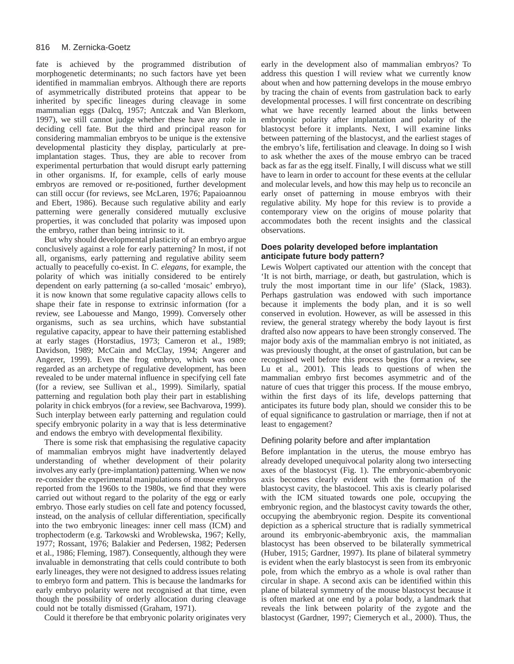fate is achieved by the programmed distribution of morphogenetic determinants; no such factors have yet been identified in mammalian embryos. Although there are reports of asymmetrically distributed proteins that appear to be inherited by specific lineages during cleavage in some mammalian eggs (Dalcq, 1957; Antczak and Van Blerkom, 1997), we still cannot judge whether these have any role in deciding cell fate. But the third and principal reason for considering mammalian embryos to be unique is the extensive developmental plasticity they display, particularly at preimplantation stages. Thus, they are able to recover from experimental perturbation that would disrupt early patterning in other organisms. If, for example, cells of early mouse embryos are removed or re-positioned, further development can still occur (for reviews, see McLaren, 1976; Papaioannou and Ebert, 1986). Because such regulative ability and early patterning were generally considered mutually exclusive properties, it was concluded that polarity was imposed upon the embryo, rather than being intrinsic to it.

But why should developmental plasticity of an embryo argue conclusively against a role for early patterning? In most, if not all, organisms, early patterning and regulative ability seem actually to peacefully co-exist. In *C. elegans*, for example, the polarity of which was initially considered to be entirely dependent on early patterning (a so-called 'mosaic' embryo), it is now known that some regulative capacity allows cells to shape their fate in response to extrinsic information (for a review, see Labouesse and Mango, 1999). Conversely other organisms, such as sea urchins, which have substantial regulative capacity, appear to have their patterning established at early stages (Horstadius, 1973; Cameron et al., 1989; Davidson, 1989; McCain and McClay, 1994; Angerer and Angerer, 1999). Even the frog embryo, which was once regarded as an archetype of regulative development, has been revealed to be under maternal influence in specifying cell fate (for a review, see Sullivan et al., 1999). Similarly, spatial patterning and regulation both play their part in establishing polarity in chick embryos (for a review, see Bachvarova, 1999). Such interplay between early patterning and regulation could specify embryonic polarity in a way that is less determinative and endows the embryo with developmental flexibility.

There is some risk that emphasising the regulative capacity of mammalian embryos might have inadvertently delayed understanding of whether development of their polarity involves any early (pre-implantation) patterning. When we now re-consider the experimental manipulations of mouse embryos reported from the 1960s to the 1980s, we find that they were carried out without regard to the polarity of the egg or early embryo. Those early studies on cell fate and potency focussed, instead, on the analysis of cellular differentiation, specifically into the two embryonic lineages: inner cell mass (ICM) and trophectoderm (e.g. Tarkowski and Wroblewska, 1967; Kelly, 1977; Rossant, 1976; Balakier and Pedersen, 1982; Pedersen et al., 1986; Fleming, 1987). Consequently, although they were invaluable in demonstrating that cells could contribute to both early lineages, they were not designed to address issues relating to embryo form and pattern. This is because the landmarks for early embryo polarity were not recognised at that time, even though the possibility of orderly allocation during cleavage could not be totally dismissed (Graham, 1971).

Could it therefore be that embryonic polarity originates very

early in the development also of mammalian embryos? To address this question I will review what we currently know about when and how patterning develops in the mouse embryo by tracing the chain of events from gastrulation back to early developmental processes. I will first concentrate on describing what we have recently learned about the links between embryonic polarity after implantation and polarity of the blastocyst before it implants. Next, I will examine links between patterning of the blastocyst, and the earliest stages of the embryo's life, fertilisation and cleavage. In doing so I wish to ask whether the axes of the mouse embryo can be traced back as far as the egg itself. Finally, I will discuss what we still have to learn in order to account for these events at the cellular and molecular levels, and how this may help us to reconcile an early onset of patterning in mouse embryos with their regulative ability. My hope for this review is to provide a contemporary view on the origins of mouse polarity that accommodates both the recent insights and the classical observations.

# **Does polarity developed before implantation anticipate future body pattern?**

Lewis Wolpert captivated our attention with the concept that 'It is not birth, marriage, or death, but gastrulation, which is truly the most important time in our life' (Slack, 1983). Perhaps gastrulation was endowed with such importance because it implements the body plan, and it is so well conserved in evolution. However, as will be assessed in this review, the general strategy whereby the body layout is first drafted also now appears to have been strongly conserved. The major body axis of the mammalian embryo is not initiated, as was previously thought, at the onset of gastrulation, but can be recognised well before this process begins (for a review, see Lu et al., 2001). This leads to questions of when the mammalian embryo first becomes asymmetric and of the nature of cues that trigger this process. If the mouse embryo, within the first days of its life, develops patterning that anticipates its future body plan, should we consider this to be of equal significance to gastrulation or marriage, then if not at least to engagement?

# Defining polarity before and after implantation

Before implantation in the uterus, the mouse embryo has already developed unequivocal polarity along two intersecting axes of the blastocyst (Fig. 1). The embryonic-abembryonic axis becomes clearly evident with the formation of the blastocyst cavity, the blastocoel. This axis is clearly polarised with the ICM situated towards one pole, occupying the embryonic region, and the blastocyst cavity towards the other, occupying the abembryonic region. Despite its conventional depiction as a spherical structure that is radially symmetrical around its embryonic-abembryonic axis, the mammalian blastocyst has been observed to be bilaterally symmetrical (Huber, 1915; Gardner, 1997). Its plane of bilateral symmetry is evident when the early blastocyst is seen from its embryonic pole, from which the embryo as a whole is oval rather than circular in shape. A second axis can be identified within this plane of bilateral symmetry of the mouse blastocyst because it is often marked at one end by a polar body, a landmark that reveals the link between polarity of the zygote and the blastocyst (Gardner, 1997; Ciemerych et al., 2000). Thus, the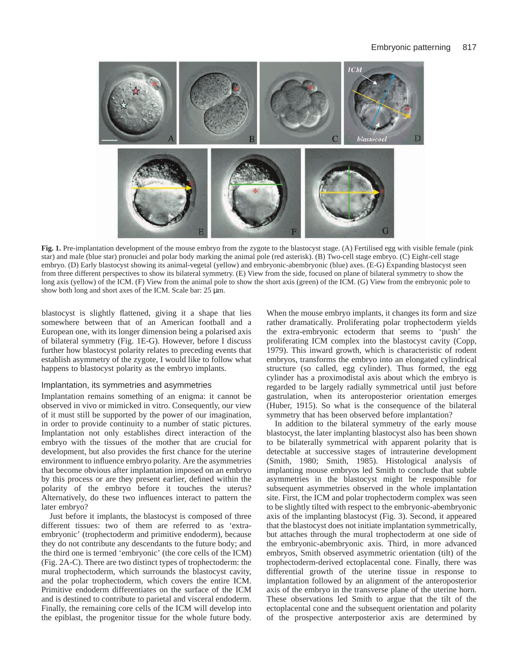

**Fig. 1.** Pre-implantation development of the mouse embryo from the zygote to the blastocyst stage. (A) Fertilised egg with visible female (pink star) and male (blue star) pronuclei and polar body marking the animal pole (red asterisk). (B) Two-cell stage embryo. (C) Eight-cell stage embryo. (D) Early blastocyst showing its animal-vegetal (yellow) and embryonic-abembryonic (blue) axes. (E-G) Expanding blastocyst seen from three different perspectives to show its bilateral symmetry. (E) View from the side, focused on plane of bilateral symmetry to show the long axis (yellow) of the ICM. (F) View from the animal pole to show the short axis (green) of the ICM. (G) View from the embryonic pole to show both long and short axes of the ICM. Scale bar: 25  $\mu$ m.

blastocyst is slightly flattened, giving it a shape that lies somewhere between that of an American football and a European one, with its longer dimension being a polarised axis of bilateral symmetry (Fig. 1E-G). However, before I discuss further how blastocyst polarity relates to preceding events that establish asymmetry of the zygote, I would like to follow what happens to blastocyst polarity as the embryo implants.

#### Implantation, its symmetries and asymmetries

Implantation remains something of an enigma: it cannot be observed in vivo or mimicked in vitro. Consequently, our view of it must still be supported by the power of our imagination, in order to provide continuity to a number of static pictures. Implantation not only establishes direct interaction of the embryo with the tissues of the mother that are crucial for development, but also provides the first chance for the uterine environment to influence embryo polarity. Are the asymmetries that become obvious after implantation imposed on an embryo by this process or are they present earlier, defined within the polarity of the embryo before it touches the uterus? Alternatively, do these two influences interact to pattern the later embryo?

Just before it implants, the blastocyst is composed of three different tissues: two of them are referred to as 'extraembryonic' (trophectoderm and primitive endoderm), because they do not contribute any descendants to the future body; and the third one is termed 'embryonic' (the core cells of the ICM) (Fig. 2A-C). There are two distinct types of trophectoderm: the mural trophectoderm, which surrounds the blastocyst cavity, and the polar trophectoderm, which covers the entire ICM. Primitive endoderm differentiates on the surface of the ICM and is destined to contribute to parietal and visceral endoderm. Finally, the remaining core cells of the ICM will develop into the epiblast, the progenitor tissue for the whole future body.

When the mouse embryo implants, it changes its form and size rather dramatically. Proliferating polar trophectoderm yields the extra-embryonic ectoderm that seems to 'push' the proliferating ICM complex into the blastocyst cavity (Copp, 1979). This inward growth, which is characteristic of rodent embryos, transforms the embryo into an elongated cylindrical structure (so called, egg cylinder). Thus formed, the egg cylinder has a proximodistal axis about which the embryo is regarded to be largely radially symmetrical until just before gastrulation, when its anteroposterior orientation emerges (Huber, 1915). So what is the consequence of the bilateral symmetry that has been observed before implantation?

In addition to the bilateral symmetry of the early mouse blastocyst, the later implanting blastocyst also has been shown to be bilaterally symmetrical with apparent polarity that is detectable at successive stages of intrauterine development (Smith, 1980; Smith, 1985). Histological analysis of implanting mouse embryos led Smith to conclude that subtle asymmetries in the blastocyst might be responsible for subsequent asymmetries observed in the whole implantation site. First, the ICM and polar trophectoderm complex was seen to be slightly tilted with respect to the embryonic-abembryonic axis of the implanting blastocyst (Fig. 3). Second, it appeared that the blastocyst does not initiate implantation symmetrically, but attaches through the mural trophectoderm at one side of the embryonic-abembryonic axis. Third, in more advanced embryos, Smith observed asymmetric orientation (tilt) of the trophectoderm-derived ectoplacental cone. Finally, there was differential growth of the uterine tissue in response to implantation followed by an alignment of the anteroposterior axis of the embryo in the transverse plane of the uterine horn. These observations led Smith to argue that the tilt of the ectoplacental cone and the subsequent orientation and polarity of the prospective anterposterior axis are determined by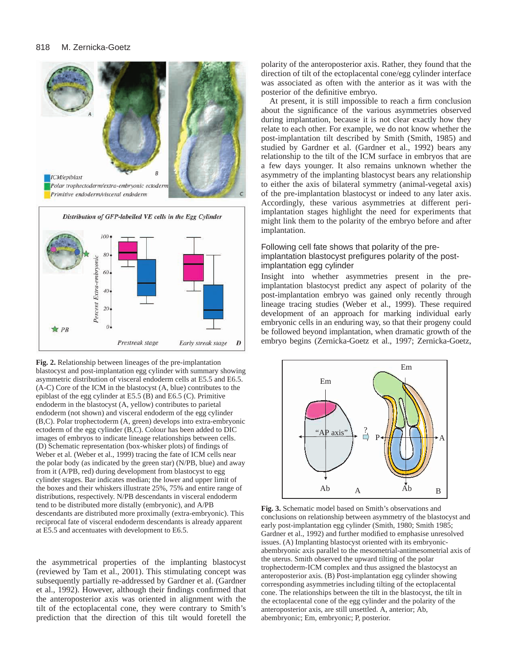



**Fig. 2.** Relationship between lineages of the pre-implantation blastocyst and post-implantation egg cylinder with summary showing asymmetric distribution of visceral endoderm cells at E5.5 and E6.5. (A-C) Core of the ICM in the blastocyst (A, blue) contributes to the epiblast of the egg cylinder at E5.5 (B) and E6.5 (C). Primitive endoderm in the blastocyst (A, yellow) contributes to parietal endoderm (not shown) and visceral endoderm of the egg cylinder (B,C). Polar trophectoderm (A, green) develops into extra-embryonic ectoderm of the egg cylinder (B,C). Colour has been added to DIC images of embryos to indicate lineage relationships between cells. (D) Schematic representation (box-whisker plots) of findings of Weber et al. (Weber et al., 1999) tracing the fate of ICM cells near the polar body (as indicated by the green star) (N/PB, blue) and away from it (A/PB, red) during development from blastocyst to egg cylinder stages. Bar indicates median; the lower and upper limit of the boxes and their whiskers illustrate 25%, 75% and entire range of distributions, respectively. N/PB descendants in visceral endoderm tend to be distributed more distally (embryonic), and A/PB descendants are distributed more proximally (extra-embryonic). This reciprocal fate of visceral endoderm descendants is already apparent at E5.5 and accentuates with development to E6.5.

the asymmetrical properties of the implanting blastocyst (reviewed by Tam et al., 2001). This stimulating concept was subsequently partially re-addressed by Gardner et al. (Gardner et al., 1992). However, although their findings confirmed that the anteroposterior axis was oriented in alignment with the tilt of the ectoplacental cone, they were contrary to Smith's prediction that the direction of this tilt would foretell the

polarity of the anteroposterior axis. Rather, they found that the direction of tilt of the ectoplacental cone/egg cylinder interface was associated as often with the anterior as it was with the posterior of the definitive embryo.

At present, it is still impossible to reach a firm conclusion about the significance of the various asymmetries observed during implantation, because it is not clear exactly how they relate to each other. For example, we do not know whether the post-implantation tilt described by Smith (Smith, 1985) and studied by Gardner et al. (Gardner et al., 1992) bears any relationship to the tilt of the ICM surface in embryos that are a few days younger. It also remains unknown whether the asymmetry of the implanting blastocyst bears any relationship to either the axis of bilateral symmetry (animal-vegetal axis) of the pre-implantation blastocyst or indeed to any later axis. Accordingly, these various asymmetries at different periimplantation stages highlight the need for experiments that might link them to the polarity of the embryo before and after implantation.

# Following cell fate shows that polarity of the preimplantation blastocyst prefigures polarity of the postimplantation egg cylinder

Insight into whether asymmetries present in the preimplantation blastocyst predict any aspect of polarity of the post-implantation embryo was gained only recently through lineage tracing studies (Weber et al., 1999). These required development of an approach for marking individual early embryonic cells in an enduring way, so that their progeny could be followed beyond implantation, when dramatic growth of the embryo begins (Zernicka-Goetz et al., 1997; Zernicka-Goetz,



**Fig. 3.** Schematic model based on Smith's observations and conclusions on relationship between asymmetry of the blastocyst and early post-implantation egg cylinder (Smith, 1980; Smith 1985; Gardner et al., 1992) and further modified to emphasise unresolved issues. (A) Implanting blastocyst oriented with its embryonicabembryonic axis parallel to the mesometrial-antimesometrial axis of the uterus. Smith observed the upward tilting of the polar trophectoderm-ICM complex and thus assigned the blastocyst an anteroposterior axis. (B) Post-implantation egg cylinder showing corresponding asymmetries including tilting of the ectoplacental cone. The relationships between the tilt in the blastocyst, the tilt in the ectoplacental cone of the egg cylinder and the polarity of the anteroposterior axis, are still unsettled. A, anterior; Ab, abembryonic; Em, embryonic; P, posterior.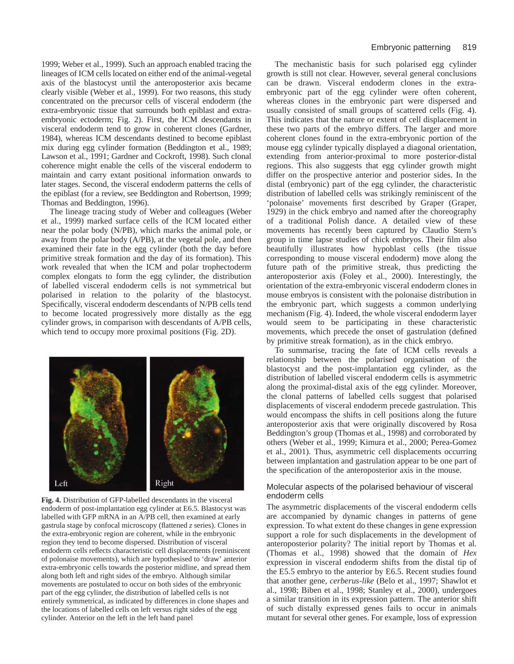1999; Weber et al., 1999). Such an approach enabled tracing the lineages of ICM cells located on either end of the animal-vegetal axis of the blastocyst until the anteroposterior axis became clearly visible (Weber et al., 1999). For two reasons, this study concentrated on the precursor cells of visceral endoderm (the extra-embryonic tissue that surrounds both epiblast and extraembryonic ectoderm; Fig. 2). First, the ICM descendants in visceral endoderm tend to grow in coherent clones (Gardner, 1984), whereas ICM descendants destined to become epiblast mix during egg cylinder formation (Beddington et al., 1989; Lawson et al., 1991; Gardner and Cockroft, 1998). Such clonal coherence might enable the cells of the visceral endoderm to maintain and carry extant positional information onwards to later stages. Second, the visceral endoderm patterns the cells of the epiblast (for a review, see Beddington and Robertson, 1999; Thomas and Beddington, 1996).

The lineage tracing study of Weber and colleagues (Weber et al., 1999) marked surface cells of the ICM located either near the polar body (N/PB), which marks the animal pole, or away from the polar body (A/PB), at the vegetal pole, and then examined their fate in the egg cylinder (both the day before primitive streak formation and the day of its formation). This work revealed that when the ICM and polar trophectoderm complex elongats to form the egg cylinder, the distribution of labelled visceral endoderm cells is not symmetrical but polarised in relation to the polarity of the blastocyst. Specifically, visceral endoderm descendants of N/PB cells tend to become located progressively more distally as the egg cylinder grows, in comparison with descendants of A/PB cells, which tend to occupy more proximal positions (Fig. 2D).



**Fig. 4.** Distribution of GFP-labelled descendants in the visceral endoderm of post-implantation egg cylinder at E6.5. Blastocyst was labelled with GFP mRNA in an A/PB cell, then examined at early gastrula stage by confocal microscopy (flattened *z* series). Clones in the extra-embryonic region are coherent, while in the embryonic region they tend to become dispersed. Distribution of visceral endoderm cells reflects characteristic cell displacements (reminiscent of polonaise movements), which are hypothesised to 'draw' anterior extra-embryonic cells towards the posterior midline, and spread them along both left and right sides of the embryo. Although similar movements are postulated to occur on both sides of the embryonic part of the egg cylinder, the distribution of labelled cells is not entirely symmetrical, as indicated by differences in clone shapes and the locations of labelled cells on left versus right sides of the egg cylinder. Anterior on the left in the left hand panel

The mechanistic basis for such polarised egg cylinder growth is still not clear. However, several general conclusions can be drawn. Visceral endoderm clones in the extraembryonic part of the egg cylinder were often coherent, whereas clones in the embryonic part were dispersed and usually consisted of small groups of scattered cells (Fig. 4). This indicates that the nature or extent of cell displacement in these two parts of the embryo differs. The larger and more coherent clones found in the extra-embryonic portion of the mouse egg cylinder typically displayed a diagonal orientation, extending from anterior-proximal to more posterior-distal regions. This also suggests that egg cylinder growth might differ on the prospective anterior and posterior sides. In the distal (embryonic) part of the egg cylinder, the characteristic distribution of labelled cells was strikingly reminiscent of the 'polonaise' movements first described by Graper (Graper, 1929) in the chick embryo and named after the choreography of a traditional Polish dance. A detailed view of these movements has recently been captured by Claudio Stern's group in time lapse studies of chick embryos. Their film also beautifully illustrates how hypoblast cells (the tissue corresponding to mouse visceral endoderm) move along the future path of the primitive streak, thus predicting the anteroposterior axis (Foley et al., 2000). Interestingly, the orientation of the extra-embryonic visceral endoderm clones in mouse embryos is consistent with the polonaise distribution in the embryonic part, which suggests a common underlying mechanism (Fig. 4). Indeed, the whole visceral endoderm layer would seem to be participating in these characteristic movements, which precede the onset of gastrulation (defined by primitive streak formation), as in the chick embryo.

To summarise, tracing the fate of ICM cells reveals a relationship between the polarised organisation of the blastocyst and the post-implantation egg cylinder, as the distribution of labelled visceral endoderm cells is asymmetric along the proximal-distal axis of the egg cylinder. Moreover, the clonal patterns of labelled cells suggest that polarised displacements of visceral endoderm precede gastrulation. This would encompass the shifts in cell positions along the future anteroposterior axis that were originally discovered by Rosa Beddington's group (Thomas et al., 1998) and corroborated by others (Weber et al., 1999; Kimura et al., 2000; Perea-Gomez et al., 2001). Thus, asymmetric cell displacements occurring between implantation and gastrulation appear to be one part of the specification of the anteroposterior axis in the mouse.

#### Molecular aspects of the polarised behaviour of visceral endoderm cells

The asymmetric displacements of the visceral endoderm cells are accompanied by dynamic changes in patterns of gene expression. To what extent do these changes in gene expression support a role for such displacements in the development of anteroposterior polarity? The initial report by Thomas et al. (Thomas et al., 1998) showed that the domain of *Hex* expression in visceral endoderm shifts from the distal tip of the E5.5 embryo to the anterior by E6.5. Recent studies found that another gene, *cerberus-like* (Belo et al., 1997; Shawlot et al., 1998; Biben et al., 1998; Stanley et al., 2000), undergoes a similar transition in its expression pattern. The anterior shift of such distally expressed genes fails to occur in animals mutant for several other genes. For example, loss of expression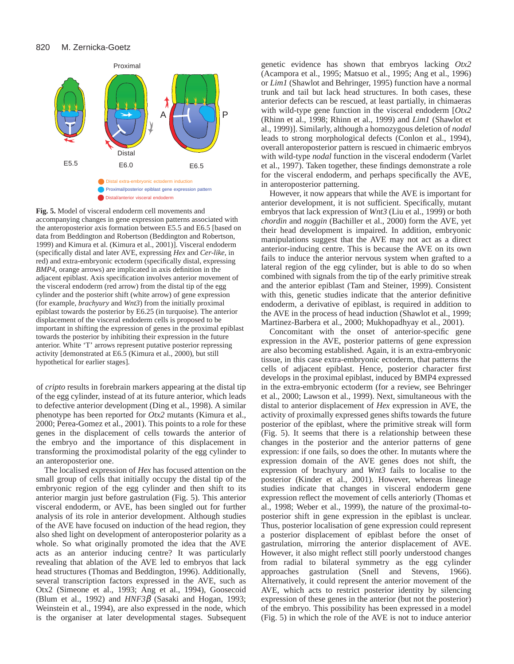

**Fig. 5.** Model of visceral endoderm cell movements and accompanying changes in gene expression patterns associated with the anteroposterior axis formation between E5.5 and E6.5 [based on data from Beddington and Robertson (Beddington and Robertson, 1999) and Kimura et al. (Kimura et al., 2001)]. Visceral endoderm (specifically distal and later AVE, expressing *Hex* and *Cer-like*, in red) and extra-embryonic ectoderm (specifically distal, expressing *BMP4*, orange arrows) are implicated in axis definition in the adjacent epiblast. Axis specification involves anterior movement of the visceral endoderm (red arrow) from the distal tip of the egg cylinder and the posterior shift (white arrow) of gene expression (for example, *brachyury* and *Wnt3*) from the initially proximal epiblast towards the posterior by E6.25 (in turquoise). The anterior displacement of the visceral endoderm cells is proposed to be important in shifting the expression of genes in the proximal epiblast towards the posterior by inhibiting their expression in the future anterior. White 'T' arrows represent putative posterior repressing activity [demonstrated at E6.5 (Kimura et al., 2000), but still hypothetical for earlier stages].

of *cripto* results in forebrain markers appearing at the distal tip of the egg cylinder, instead of at its future anterior, which leads to defective anterior development (Ding et al., 1998). A similar phenotype has been reported for *Otx2* mutants (Kimura et al., 2000; Perea-Gomez et al., 2001). This points to a role for these genes in the displacement of cells towards the anterior of the embryo and the importance of this displacement in transforming the proximodistal polarity of the egg cylinder to an anteroposterior one.

The localised expression of *Hex* has focused attention on the small group of cells that initially occupy the distal tip of the embryonic region of the egg cylinder and then shift to its anterior margin just before gastrulation (Fig. 5). This anterior visceral endoderm, or AVE, has been singled out for further analysis of its role in anterior development. Although studies of the AVE have focused on induction of the head region, they also shed light on development of anteroposterior polarity as a whole. So what originally promoted the idea that the AVE acts as an anterior inducing centre? It was particularly revealing that ablation of the AVE led to embryos that lack head structures (Thomas and Beddington, 1996). Additionally, several transcription factors expressed in the AVE, such as Otx2 (Simeone et al., 1993; Ang et al., 1994), Goosecoid (Blum et al., 1992) and *HNF3*β (Sasaki and Hogan, 1993; Weinstein et al., 1994), are also expressed in the node, which is the organiser at later developmental stages. Subsequent

genetic evidence has shown that embryos lacking *Otx2* (Acampora et al., 1995; Matsuo et al., 1995; Ang et al., 1996) or *Lim1* (Shawlot and Behringer, 1995) function have a normal trunk and tail but lack head structures. In both cases, these anterior defects can be rescued, at least partially, in chimaeras with wild-type gene function in the visceral endoderm [*Otx2* (Rhinn et al., 1998; Rhinn et al., 1999) and *Lim1* (Shawlot et al., 1999)]. Similarly, although a homozygous deletion of *nodal* leads to strong morphological defects (Conlon et al., 1994), overall anteroposterior pattern is rescued in chimaeric embryos with wild-type *nodal* function in the visceral endoderm (Varlet et al., 1997). Taken together, these findings demonstrate a role for the visceral endoderm, and perhaps specifically the AVE, in anteroposterior patterning.

However, it now appears that while the AVE is important for anterior development, it is not sufficient. Specifically, mutant embryos that lack expression of *Wnt3* (Liu et al., 1999) or both *chordin* and *noggin* (Bachiller et al., 2000) form the AVE, yet their head development is impaired. In addition, embryonic manipulations suggest that the AVE may not act as a direct anterior-inducing centre. This is because the AVE on its own fails to induce the anterior nervous system when grafted to a lateral region of the egg cylinder, but is able to do so when combined with signals from the tip of the early primitive streak and the anterior epiblast (Tam and Steiner, 1999). Consistent with this, genetic studies indicate that the anterior definitive endoderm, a derivative of epiblast, is required in addition to the AVE in the process of head induction (Shawlot et al., 1999; Martinez-Barbera et al., 2000; Mukhopadhyay et al., 2001).

Concomitant with the onset of anterior-specific gene expression in the AVE, posterior patterns of gene expression are also becoming established. Again, it is an extra-embryonic tissue, in this case extra-embryonic ectoderm, that patterns the cells of adjacent epiblast. Hence, posterior character first develops in the proximal epiblast, induced by BMP4 expressed in the extra-embryonic ectoderm (for a review, see Behringer et al., 2000; Lawson et al., 1999). Next, simultaneous with the distal to anterior displacement of *Hex* expression in AVE, the activity of proximally expressed genes shifts towards the future posterior of the epiblast, where the primitive streak will form (Fig. 5). It seems that there is a relationship between these changes in the posterior and the anterior patterns of gene expression: if one fails, so does the other. In mutants where the expression domain of the AVE genes does not shift, the expression of brachyury and *Wnt3* fails to localise to the posterior (Kinder et al., 2001). However, whereas lineage studies indicate that changes in visceral endoderm gene expression reflect the movement of cells anteriorly (Thomas et al., 1998; Weber et al., 1999), the nature of the proximal-toposterior shift in gene expression in the epiblast is unclear. Thus, posterior localisation of gene expression could represent a posterior displacement of epiblast before the onset of gastrulation, mirroring the anterior displacement of AVE. However, it also might reflect still poorly understood changes from radial to bilateral symmetry as the egg cylinder approaches gastrulation (Snell and Stevens, 1966). Alternatively, it could represent the anterior movement of the AVE, which acts to restrict posterior identity by silencing expression of these genes in the anterior (but not the posterior) of the embryo. This possibility has been expressed in a model (Fig. 5) in which the role of the AVE is not to induce anterior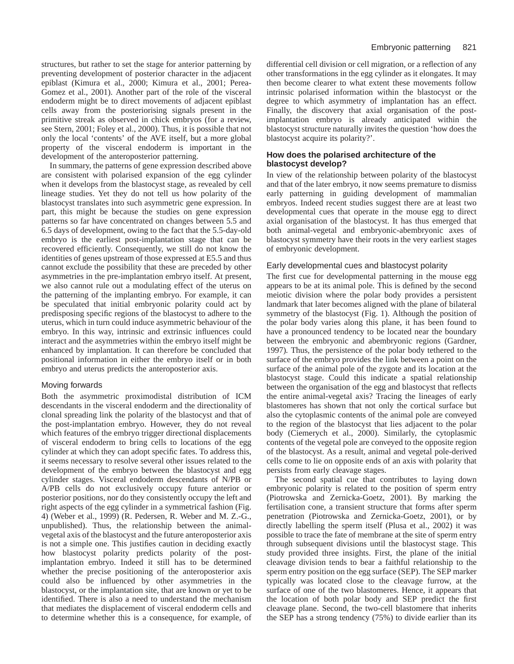structures, but rather to set the stage for anterior patterning by preventing development of posterior character in the adjacent epiblast (Kimura et al., 2000; Kimura et al., 2001; Perea-Gomez et al., 2001). Another part of the role of the visceral endoderm might be to direct movements of adjacent epiblast cells away from the posteriorising signals present in the primitive streak as observed in chick embryos (for a review, see Stern, 2001; Foley et al., 2000). Thus, it is possible that not only the local 'contents' of the AVE itself, but a more global property of the visceral endoderm is important in the development of the anteroposterior patterning.

In summary, the patterns of gene expression described above are consistent with polarised expansion of the egg cylinder when it develops from the blastocyst stage, as revealed by cell lineage studies. Yet they do not tell us how polarity of the blastocyst translates into such asymmetric gene expression. In part, this might be because the studies on gene expression patterns so far have concentrated on changes between 5.5 and 6.5 days of development, owing to the fact that the 5.5-day-old embryo is the earliest post-implantation stage that can be recovered efficiently. Consequently, we still do not know the identities of genes upstream of those expressed at E5.5 and thus cannot exclude the possibility that these are preceded by other asymmetries in the pre-implantation embryo itself. At present, we also cannot rule out a modulating effect of the uterus on the patterning of the implanting embryo. For example, it can be speculated that initial embryonic polarity could act by predisposing specific regions of the blastocyst to adhere to the uterus, which in turn could induce asymmetric behaviour of the embryo. In this way, intrinsic and extrinsic influences could interact and the asymmetries within the embryo itself might be enhanced by implantation. It can therefore be concluded that positional information in either the embryo itself or in both embryo and uterus predicts the anteroposterior axis.

# Moving forwards

Both the asymmetric proximodistal distribution of ICM descendants in the visceral endoderm and the directionality of clonal spreading link the polarity of the blastocyst and that of the post-implantation embryo. However, they do not reveal which features of the embryo trigger directional displacements of visceral endoderm to bring cells to locations of the egg cylinder at which they can adopt specific fates. To address this, it seems necessary to resolve several other issues related to the development of the embryo between the blastocyst and egg cylinder stages. Visceral endoderm descendants of N/PB or A/PB cells do not exclusively occupy future anterior or posterior positions, nor do they consistently occupy the left and right aspects of the egg cylinder in a symmetrical fashion (Fig. 4) (Weber et al., 1999) (R. Pedersen, R. Weber and M. Z.-G., unpublished). Thus, the relationship between the animalvegetal axis of the blastocyst and the future anteroposterior axis is not a simple one. This justifies caution in deciding exactly how blastocyst polarity predicts polarity of the postimplantation embryo. Indeed it still has to be determined whether the precise positioning of the anteroposterior axis could also be influenced by other asymmetries in the blastocyst, or the implantation site, that are known or yet to be identified. There is also a need to understand the mechanism that mediates the displacement of visceral endoderm cells and to determine whether this is a consequence, for example, of

differential cell division or cell migration, or a reflection of any other transformations in the egg cylinder as it elongates. It may then become clearer to what extent these movements follow intrinsic polarised information within the blastocyst or the degree to which asymmetry of implantation has an effect. Finally, the discovery that axial organisation of the postimplantation embryo is already anticipated within the blastocyst structure naturally invites the question 'how does the blastocyst acquire its polarity?'.

### **How does the polarised architecture of the blastocyst develop?**

In view of the relationship between polarity of the blastocyst and that of the later embryo, it now seems premature to dismiss early patterning in guiding development of mammalian embryos. Indeed recent studies suggest there are at least two developmental cues that operate in the mouse egg to direct axial organisation of the blastocyst. It has thus emerged that both animal-vegetal and embryonic-abembryonic axes of blastocyst symmetry have their roots in the very earliest stages of embryonic development.

# Early developmental cues and blastocyst polarity

The first cue for developmental patterning in the mouse egg appears to be at its animal pole. This is defined by the second meiotic division where the polar body provides a persistent landmark that later becomes aligned with the plane of bilateral symmetry of the blastocyst (Fig. 1). Although the position of the polar body varies along this plane, it has been found to have a pronounced tendency to be located near the boundary between the embryonic and abembryonic regions (Gardner, 1997)*.* Thus, the persistence of the polar body tethered to the surface of the embryo provides the link between a point on the surface of the animal pole of the zygote and its location at the blastocyst stage. Could this indicate a spatial relationship between the organisation of the egg and blastocyst that reflects the entire animal-vegetal axis? Tracing the lineages of early blastomeres has shown that not only the cortical surface but also the cytoplasmic contents of the animal pole are conveyed to the region of the blastocyst that lies adjacent to the polar body (Ciemerych et al., 2000). Similarly, the cytoplasmic contents of the vegetal pole are conveyed to the opposite region of the blastocyst. As a result, animal and vegetal pole-derived cells come to lie on opposite ends of an axis with polarity that persists from early cleavage stages.

The second spatial cue that contributes to laying down embryonic polarity is related to the position of sperm entry (Piotrowska and Zernicka-Goetz, 2001). By marking the fertilisation cone, a transient structure that forms after sperm penetration (Piotrowska and Zernicka-Goetz, 2001), or by directly labelling the sperm itself (Plusa et al., 2002) it was possible to trace the fate of membrane at the site of sperm entry through subsequent divisions until the blastocyst stage. This study provided three insights. First, the plane of the initial cleavage division tends to bear a faithful relationship to the sperm entry position on the egg surface (SEP). The SEP marker typically was located close to the cleavage furrow, at the surface of one of the two blastomeres. Hence, it appears that the location of both polar body and SEP predict the first cleavage plane. Second, the two-cell blastomere that inherits the SEP has a strong tendency (75%) to divide earlier than its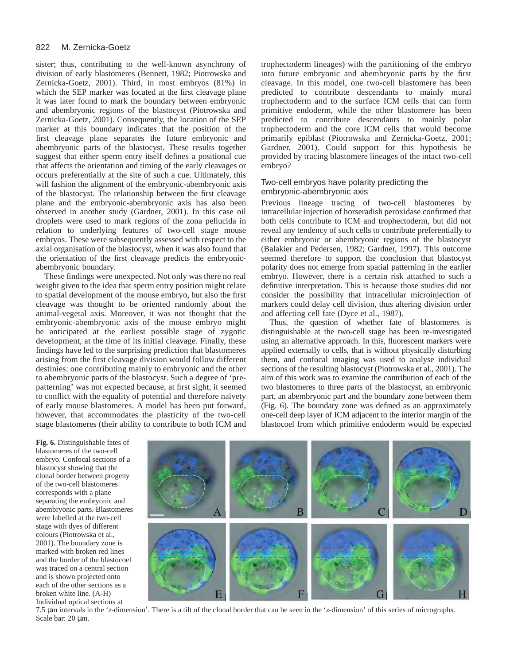#### 822 M. Zernicka-Goetz

sister; thus, contributing to the well-known asynchrony of division of early blastomeres (Bennett, 1982; Piotrowska and Zernicka-Goetz, 2001). Third, in most embryos (81%) in which the SEP marker was located at the first cleavage plane it was later found to mark the boundary between embryonic and abembryonic regions of the blastocyst (Piotrowska and Zernicka-Goetz, 2001). Consequently, the location of the SEP marker at this boundary indicates that the position of the first cleavage plane separates the future embryonic and abembryonic parts of the blastocyst. These results together suggest that either sperm entry itself defines a positional cue that affects the orientation and timing of the early cleavages or occurs preferentially at the site of such a cue. Ultimately, this will fashion the alignment of the embryonic-abembryonic axis of the blastocyst. The relationship between the first cleavage plane and the embryonic-abembryonic axis has also been observed in another study (Gardner, 2001). In this case oil droplets were used to mark regions of the zona pellucida in relation to underlying features of two-cell stage mouse embryos. These were subsequently assessed with respect to the axial organisation of the blastocyst, when it was also found that the orientation of the first cleavage predicts the embryonicabembryonic boundary.

These findings were unexpected. Not only was there no real weight given to the idea that sperm entry position might relate to spatial development of the mouse embryo, but also the first cleavage was thought to be oriented randomly about the animal-vegetal axis. Moreover, it was not thought that the embryonic-abembryonic axis of the mouse embryo might be anticipated at the earliest possible stage of zygotic development, at the time of its initial cleavage. Finally, these findings have led to the surprising prediction that blastomeres arising from the first cleavage division would follow different destinies: one contributing mainly to embryonic and the other to abembryonic parts of the blastocyst. Such a degree of 'prepatterning' was not expected because, at first sight, it seemed to conflict with the equality of potential and therefore naïvety of early mouse blastomeres. A model has been put forward, however, that accommodates the plasticity of the two-cell stage blastomeres (their ability to contribute to both ICM and

trophectoderm lineages) with the partitioning of the embryo into future embryonic and abembryonic parts by the first cleavage. In this model, one two-cell blastomere has been predicted to contribute descendants to mainly mural trophectoderm and to the surface ICM cells that can form primitive endoderm, while the other blastomere has been predicted to contribute descendants to mainly polar trophectoderm and the core ICM cells that would become primarily epiblast (Piotrowska and Zernicka-Goetz, 2001; Gardner, 2001). Could support for this hypothesis be provided by tracing blastomere lineages of the intact two-cell embryo?

### Two-cell embryos have polarity predicting the embryonic-abembryonic axis

Previous lineage tracing of two-cell blastomeres by intracellular injection of horseradish peroxidase confirmed that both cells contribute to ICM and trophectoderm, but did not reveal any tendency of such cells to contribute preferentially to either embryonic or abembryonic regions of the blastocyst (Balakier and Pedersen, 1982; Gardner, 1997). This outcome seemed therefore to support the conclusion that blastocyst polarity does not emerge from spatial patterning in the earlier embryo. However, there is a certain risk attached to such a definitive interpretation. This is because those studies did not consider the possibility that intracellular microinjection of markers could delay cell division, thus altering division order and affecting cell fate (Dyce et al., 1987).

Thus, the question of whether fate of blastomeres is distinguishable at the two-cell stage has been re-investigated using an alternative approach. In this, fluorescent markers were applied externally to cells, that is without physically disturbing them, and confocal imaging was used to analyse individual sections of the resulting blastocyst (Piotrowska et al., 2001). The aim of this work was to examine the contribution of each of the two blastomeres to three parts of the blastocyst, an embryonic part, an abembryonic part and the boundary zone between them (Fig. 6). The boundary zone was defined as an approximately one-cell deep layer of ICM adjacent to the interior margin of the blastocoel from which primitive endoderm would be expected

**Fig. 6.** Distinguishable fates of blastomeres of the two-cell embryo. Confocal sections of a blastocyst showing that the clonal border between progeny of the two-cell blastomeres corresponds with a plane separating the embryonic and abembryonic parts. Blastomeres were labelled at the two-cell stage with dyes of different colours (Piotrowska et al., 2001). The boundary zone is marked with broken red lines and the border of the blastocoel was traced on a central section and is shown projected onto each of the other sections as a broken white line. (A-H) Individual optical sections at



7.5 µm intervals in the '*z*-dimension'. There is a tilt of the clonal border that can be seen in the '*z*-dimension' of this series of micrographs. Scale bar: 20  $\mu$ m.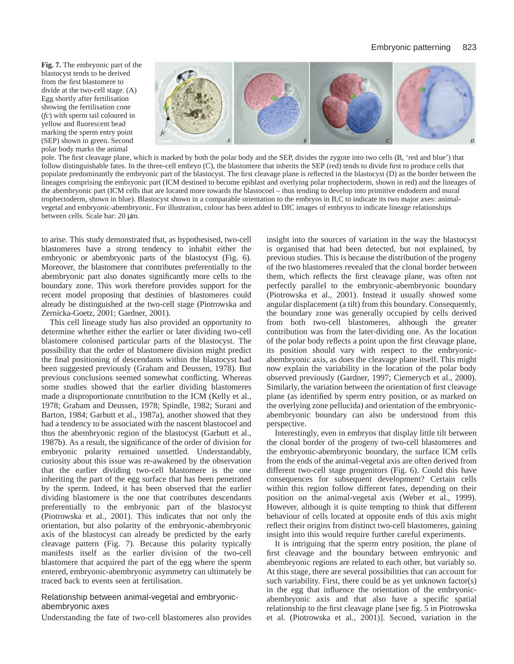**Fig. 7.** The embryonic part of the blastocyst tends to be derived from the first blastomere to divide at the two-cell stage. (A) Egg shortly after fertilisation showing the fertilisation cone (*fc*) with sperm tail coloured in yellow and fluorescent bead marking the sperm entry point (SEP) shown in green. Second polar body marks the animal



pole. The first cleavage plane, which is marked by both the polar body and the SEP, divides the zygote into two cells (B, 'red and blue') that follow distinguishable fates. In the three-cell embryo (C), the blastomere that inherits the SEP (red) tends to divide first to produce cells that populate predominantly the embryonic part of the blastocyst. The first cleavage plane is reflected in the blastocyst (D) as the border between the lineages comprising the embryonic part (ICM destined to become epiblast and overlying polar trophectoderm, shown in red) and the lineages of the abembryonic part (ICM cells that are located more towards the blastocoel – thus tending to develop into primitive endoderm and mural trophectoderm, shown in blue). Blastocyst shown in a comparable orientation to the embryos in B,C to indicate its two major axes: animalvegetal and embryonic-abembryonic. For illustration, colour has been added to DIC images of embryos to indicate lineage relationships between cells. Scale bar: 20 µm.

to arise. This study demonstrated that, as hypothesised, two-cell blastomeres have a strong tendency to inhabit either the embryonic or abembryonic parts of the blastocyst (Fig. 6). Moreover, the blastomere that contributes preferentially to the abembryonic part also donates significantly more cells to the boundary zone. This work therefore provides support for the recent model proposing that destinies of blastomeres could already be distinguished at the two-cell stage (Piotrowska and Zernicka-Goetz, 2001; Gardner, 2001).

This cell lineage study has also provided an opportunity to determine whether either the earlier or later dividing two-cell blastomere colonised particular parts of the blastocyst. The possibility that the order of blastomere division might predict the final positioning of descendants within the blastocyst had been suggested previously (Graham and Deussen, 1978). But previous conclusions seemed somewhat conflicting. Whereas some studies showed that the earlier dividing blastomeres made a disproportionate contribution to the ICM (Kelly et al., 1978; Graham and Deussen, 1978; Spindle, 1982; Surani and Barton, 1984; Garbutt et al., 1987a), another showed that they had a tendency to be associated with the nascent blastocoel and thus the abembryonic region of the blastocyst (Garbutt et al., 1987b). As a result, the significance of the order of division for embryonic polarity remained unsettled. Understandably, curiosity about this issue was re-awakened by the observation that the earlier dividing two-cell blastomere is the one inheriting the part of the egg surface that has been penetrated by the sperm. Indeed, it has been observed that the earlier dividing blastomere is the one that contributes descendants preferentially to the embryonic part of the blastocyst (Piotrowska et al., 2001). This indicates that not only the orientation, but also polarity of the embryonic-abembryonic axis of the blastocyst can already be predicted by the early cleavage pattern (Fig. 7). Because this polarity typically manifests itself as the earlier division of the two-cell blastomere that acquired the part of the egg where the sperm entered, embryonic-abembryonic asymmetry can ultimately be traced back to events seen at fertilisation.

#### Relationship between animal-vegetal and embryonicabembryonic axes

Understanding the fate of two-cell blastomeres also provides

insight into the sources of variation in the way the blastocyst is organised that had been detected, but not explained, by previous studies. This is because the distribution of the progeny of the two blastomeres revealed that the clonal border between them, which reflects the first cleavage plane, was often not perfectly parallel to the embryonic-abembryonic boundary (Piotrowska et al., 2001). Instead it usually showed some angular displacement (a tilt) from this boundary. Consequently, the boundary zone was generally occupied by cells derived from both two-cell blastomeres, although the greater contribution was from the later-dividing one. As the location of the polar body reflects a point upon the first cleavage plane, its position should vary with respect to the embryonicabembryonic axis, as does the cleavage plane itself. This might now explain the variability in the location of the polar body observed previously (Gardner, 1997; Ciemerych et al., 2000). Similarly, the variation between the orientation of first cleavage plane (as identified by sperm entry position, or as marked on the overlying zone pellucida) and orientation of the embryonicabembryonic boundary can also be understood from this perspective.

Interestingly, even in embryos that display little tilt between the clonal border of the progeny of two-cell blastomeres and the embryonic-abembryonic boundary, the surface ICM cells from the ends of the animal-vegetal axis are often derived from different two-cell stage progenitors (Fig. 6). Could this have consequences for subsequent development? Certain cells within this region follow different fates, depending on their position on the animal-vegetal axis (Weber et al., 1999). However, although it is quite tempting to think that different behaviour of cells located at opposite ends of this axis might reflect their origins from distinct two-cell blastomeres, gaining insight into this would require further careful experiments.

It is intriguing that the sperm entry position, the plane of first cleavage and the boundary between embryonic and abembryonic regions are related to each other, but variably so. At this stage, there are several possibilities that can account for such variability. First, there could be as yet unknown factor(s) in the egg that influence the orientation of the embryonicabembryonic axis and that also have a specific spatial relationship to the first cleavage plane [see fig. 5 in Piotrowska et al. (Piotrowska et al., 2001)]. Second, variation in the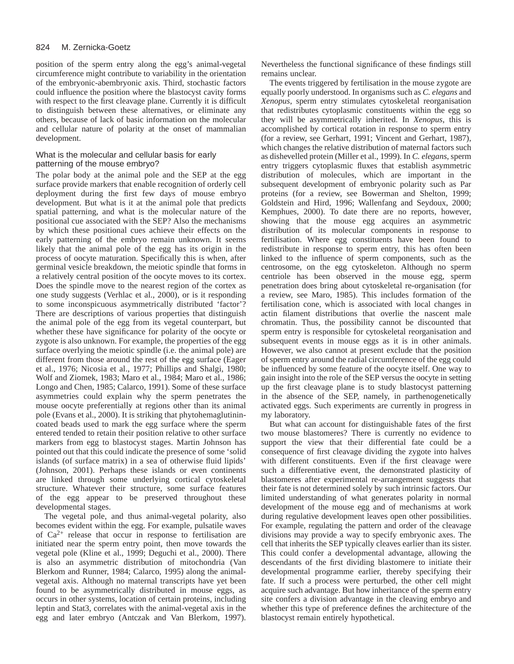position of the sperm entry along the egg's animal-vegetal circumference might contribute to variability in the orientation of the embryonic-abembryonic axis. Third, stochastic factors could influence the position where the blastocyst cavity forms with respect to the first cleavage plane. Currently it is difficult to distinguish between these alternatives, or eliminate any others, because of lack of basic information on the molecular and cellular nature of polarity at the onset of mammalian development.

# What is the molecular and cellular basis for early patterning of the mouse embryo?

The polar body at the animal pole and the SEP at the egg surface provide markers that enable recognition of orderly cell deployment during the first few days of mouse embryo development. But what is it at the animal pole that predicts spatial patterning, and what is the molecular nature of the positional cue associated with the SEP? Also the mechanisms by which these positional cues achieve their effects on the early patterning of the embryo remain unknown. It seems likely that the animal pole of the egg has its origin in the process of oocyte maturation. Specifically this is when, after germinal vesicle breakdown, the meiotic spindle that forms in a relatively central position of the oocyte moves to its cortex. Does the spindle move to the nearest region of the cortex as one study suggests (Verhlac et al., 2000), or is it responding to some inconspicuous asymmetrically distributed 'factor'? There are descriptions of various properties that distinguish the animal pole of the egg from its vegetal counterpart, but whether these have significance for polarity of the oocyte or zygote is also unknown. For example, the properties of the egg surface overlying the meiotic spindle (i.e. the animal pole) are different from those around the rest of the egg surface (Eager et al., 1976; Nicosia et al., 1977; Phillips and Shalgi, 1980; Wolf and Ziomek, 1983; Maro et al., 1984; Maro et al., 1986; Longo and Chen, 1985; Calarco, 1991). Some of these surface asymmetries could explain why the sperm penetrates the mouse oocyte preferentially at regions other than its animal pole (Evans et al., 2000). It is striking that phytohemaglutinincoated beads used to mark the egg surface where the sperm entered tended to retain their position relative to other surface markers from egg to blastocyst stages. Martin Johnson has pointed out that this could indicate the presence of some 'solid islands (of surface matrix) in a sea of otherwise fluid lipids' (Johnson, 2001). Perhaps these islands or even continents are linked through some underlying cortical cytoskeletal structure. Whatever their structure, some surface features of the egg appear to be preserved throughout these developmental stages.

The vegetal pole, and thus animal-vegetal polarity, also becomes evident within the egg. For example, pulsatile waves of Ca2+ release that occur in response to fertilisation are initiated near the sperm entry point, then move towards the vegetal pole (Kline et al., 1999; Deguchi et al., 2000). There is also an asymmetric distribution of mitochondria (Van Blerkom and Runner, 1984; Calarco, 1995) along the animalvegetal axis. Although no maternal transcripts have yet been found to be asymmetrically distributed in mouse eggs, as occurs in other systems, location of certain proteins, including leptin and Stat3, correlates with the animal-vegetal axis in the egg and later embryo (Antczak and Van Blerkom, 1997). Nevertheless the functional significance of these findings still remains unclear.

The events triggered by fertilisation in the mouse zygote are equally poorly understood. In organisms such as *C. elegans* and *Xenopus*, sperm entry stimulates cytoskeletal reorganisation that redistributes cytoplasmic constituents within the egg so they will be asymmetrically inherited. In *Xenopus*, this is accomplished by cortical rotation in response to sperm entry (for a review, see Gerhart, 1991; Vincent and Gerhart, 1987), which changes the relative distribution of maternal factors such as dishevelled protein (Miller et al., 1999). In *C. elegans*, sperm entry triggers cytoplasmic fluxes that establish asymmetric distribution of molecules, which are important in the subsequent development of embryonic polarity such as Par proteins (for a review, see Bowerman and Shelton, 1999; Goldstein and Hird, 1996; Wallenfang and Seydoux, 2000; Kemphues, 2000). To date there are no reports, however, showing that the mouse egg acquires an asymmetric distribution of its molecular components in response to fertilisation. Where egg constituents have been found to redistribute in response to sperm entry, this has often been linked to the influence of sperm components, such as the centrosome, on the egg cytoskeleton. Although no sperm centriole has been observed in the mouse egg, sperm penetration does bring about cytoskeletal re-organisation (for a review, see Maro, 1985). This includes formation of the fertilisation cone, which is associated with local changes in actin filament distributions that overlie the nascent male chromatin. Thus, the possibility cannot be discounted that sperm entry is responsible for cytoskeletal reorganisation and subsequent events in mouse eggs as it is in other animals. However, we also cannot at present exclude that the position of sperm entry around the radial circumference of the egg could be influenced by some feature of the oocyte itself. One way to gain insight into the role of the SEP versus the oocyte in setting up the first cleavage plane is to study blastocyst patterning in the absence of the SEP, namely, in parthenogenetically activated eggs. Such experiments are currently in progress in my laboratory.

But what can account for distinguishable fates of the first two mouse blastomeres? There is currently no evidence to support the view that their differential fate could be a consequence of first cleavage dividing the zygote into halves with different constituents. Even if the first cleavage were such a differentiative event, the demonstrated plasticity of blastomeres after experimental re-arrangement suggests that their fate is not determined solely by such intrinsic factors. Our limited understanding of what generates polarity in normal development of the mouse egg and of mechanisms at work during regulative development leaves open other possibilities. For example, regulating the pattern and order of the cleavage divisions may provide a way to specify embryonic axes. The cell that inherits the SEP typically cleaves earlier than its sister. This could confer a developmental advantage, allowing the descendants of the first dividing blastomere to initiate their developmental programme earlier, thereby specifying their fate. If such a process were perturbed, the other cell might acquire such advantage. But how inheritance of the sperm entry site confers a division advantage in the cleaving embryo and whether this type of preference defines the architecture of the blastocyst remain entirely hypothetical.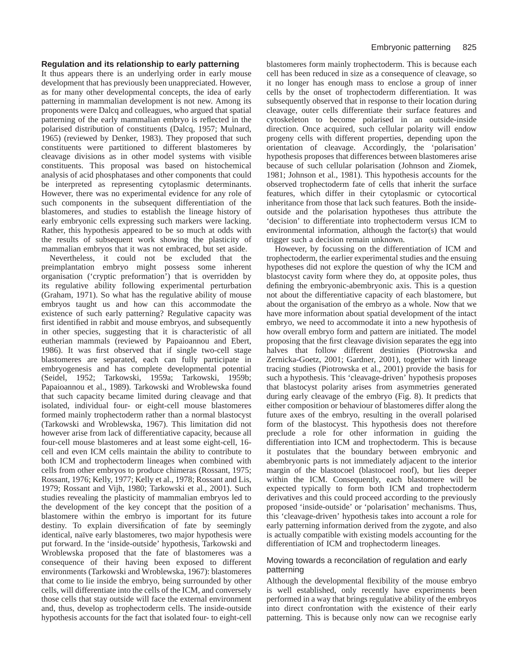## **Regulation and its relationship to early patterning**

It thus appears there is an underlying order in early mouse development that has previously been unappreciated. However, as for many other developmental concepts, the idea of early patterning in mammalian development is not new. Among its proponents were Dalcq and colleagues, who argued that spatial patterning of the early mammalian embryo is reflected in the polarised distribution of constituents (Dalcq, 1957; Mulnard, 1965) (reviewed by Denker, 1983). They proposed that such constituents were partitioned to different blastomeres by cleavage divisions as in other model systems with visible constituents. This proposal was based on histochemical analysis of acid phosphatases and other components that could be interpreted as representing cytoplasmic determinants. However, there was no experimental evidence for any role of such components in the subsequent differentiation of the blastomeres, and studies to establish the lineage history of early embryonic cells expressing such markers were lacking. Rather, this hypothesis appeared to be so much at odds with the results of subsequent work showing the plasticity of mammalian embryos that it was not embraced, but set aside.

Nevertheless, it could not be excluded that the preimplantation embryo might possess some inherent organisation ('cryptic preformation') that is overridden by its regulative ability following experimental perturbation (Graham, 1971). So what has the regulative ability of mouse embryos taught us and how can this accommodate the existence of such early patterning? Regulative capacity was first identified in rabbit and mouse embryos, and subsequently in other species, suggesting that it is characteristic of all eutherian mammals (reviewed by Papaioannou and Ebert, 1986). It was first observed that if single two-cell stage blastomeres are separated, each can fully participate in embryogenesis and has complete developmental potential (Seidel, 1952; Tarkowski, 1959a; Tarkowski, 1959b; Papaioannou et al., 1989). Tarkowski and Wroblewska found that such capacity became limited during cleavage and that isolated, individual four- or eight-cell mouse blastomeres formed mainly trophectoderm rather than a normal blastocyst (Tarkowski and Wroblewska, 1967). This limitation did not however arise from lack of differentiative capacity, because all four-cell mouse blastomeres and at least some eight-cell, 16 cell and even ICM cells maintain the ability to contribute to both ICM and trophectoderm lineages when combined with cells from other embryos to produce chimeras (Rossant, 1975; Rossant, 1976; Kelly, 1977; Kelly et al., 1978; Rossant and Lis, 1979; Rossant and Vijh, 1980; Tarkowski et al., 2001). Such studies revealing the plasticity of mammalian embryos led to the development of the key concept that the position of a blastomere within the embryo is important for its future destiny. To explain diversification of fate by seemingly identical, naïve early blastomeres, two major hypothesis were put forward. In the 'inside-outside' hypothesis, Tarkowski and Wroblewska proposed that the fate of blastomeres was a consequence of their having been exposed to different environments (Tarkowski and Wroblewska, 1967): blastomeres that come to lie inside the embryo, being surrounded by other cells, will differentiate into the cells of the ICM, and conversely those cells that stay outside will face the external environment and, thus, develop as trophectoderm cells. The inside-outside hypothesis accounts for the fact that isolated four- to eight-cell

blastomeres form mainly trophectoderm. This is because each cell has been reduced in size as a consequence of cleavage, so it no longer has enough mass to enclose a group of inner cells by the onset of trophectoderm differentiation. It was subsequently observed that in response to their location during cleavage, outer cells differentiate their surface features and cytoskeleton to become polarised in an outside-inside direction. Once acquired, such cellular polarity will endow progeny cells with different properties, depending upon the orientation of cleavage. Accordingly, the 'polarisation' hypothesis proposes that differences between blastomeres arise because of such cellular polarisation (Johnson and Ziomek, 1981; Johnson et al., 1981). This hypothesis accounts for the observed trophectoderm fate of cells that inherit the surface features, which differ in their cytoplasmic or cytocortical inheritance from those that lack such features. Both the insideoutside and the polarisation hypotheses thus attribute the 'decision' to differentiate into trophectoderm versus ICM to environmental information, although the factor(s) that would trigger such a decision remain unknown.

However, by focussing on the differentiation of ICM and trophectoderm, the earlier experimental studies and the ensuing hypotheses did not explore the question of why the ICM and blastocyst cavity form where they do, at opposite poles, thus defining the embryonic-abembryonic axis. This is a question not about the differentiative capacity of each blastomere, but about the organisation of the embryo as a whole. Now that we have more information about spatial development of the intact embryo, we need to accommodate it into a new hypothesis of how overall embryo form and pattern are initiated. The model proposing that the first cleavage division separates the egg into halves that follow different destinies (Piotrowska and Zernicka-Goetz, 2001; Gardner, 2001), together with lineage tracing studies (Piotrowska et al., 2001) provide the basis for such a hypothesis. This 'cleavage-driven' hypothesis proposes that blastocyst polarity arises from asymmetries generated during early cleavage of the embryo (Fig. 8). It predicts that either composition or behaviour of blastomeres differ along the future axes of the embryo, resulting in the overall polarised form of the blastocyst. This hypothesis does not therefore preclude a role for other information in guiding the differentiation into ICM and trophectoderm. This is because it postulates that the boundary between embryonic and abembryonic parts is not immediately adjacent to the interior margin of the blastocoel (blastocoel roof), but lies deeper within the ICM. Consequently, each blastomere will be expected typically to form both ICM and trophectoderm derivatives and this could proceed according to the previously proposed 'inside-outside' or 'polarisation' mechanisms. Thus, this 'cleavage-driven' hypothesis takes into account a role for early patterning information derived from the zygote, and also is actually compatible with existing models accounting for the differentiation of ICM and trophectoderm lineages.

# Moving towards a reconcilation of regulation and early patterning

Although the developmental flexibility of the mouse embryo is well established, only recently have experiments been performed in a way that brings regulative ability of the embryos into direct confrontation with the existence of their early patterning. This is because only now can we recognise early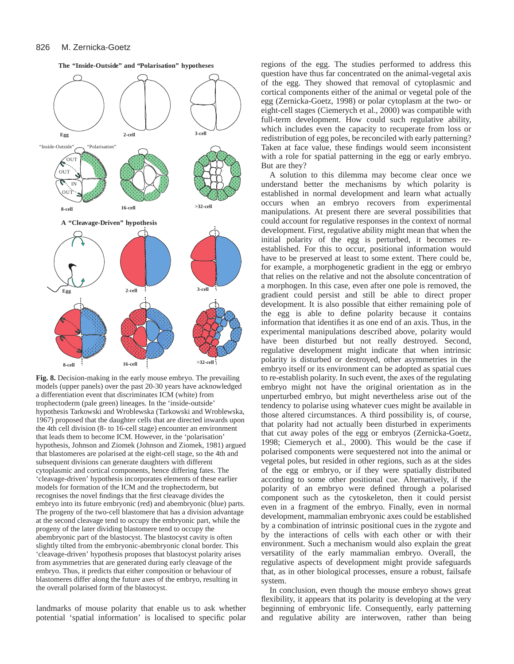

**The "Inside-Outside" and "Polarisation" hypotheses**

**Fig. 8.** Decision-making in the early mouse embryo. The prevailing models (upper panels) over the past 20-30 years have acknowledged a differentiation event that discriminates ICM (white) from trophectoderm (pale green) lineages. In the 'inside-outside' hypothesis Tarkowski and Wroblewska (Tarkowski and Wroblewska, 1967) proposed that the daughter cells that are directed inwards upon the 4th cell division (8- to 16-cell stage) encounter an environment that leads them to become ICM. However, in the 'polarisation' hypothesis, Johnson and Ziomek (Johnson and Ziomek, 1981) argued that blastomeres are polarised at the eight-cell stage, so the 4th and subsequent divisions can generate daughters with different cytoplasmic and cortical components, hence differing fates. The 'cleavage-driven' hypothesis incorporates elements of these earlier models for formation of the ICM and the trophectoderm, but recognises the novel findings that the first cleavage divides the embryo into its future embryonic (red) and abembryonic (blue) parts. The progeny of the two-cell blastomere that has a division advantage at the second cleavage tend to occupy the embryonic part, while the progeny of the later dividing blastomere tend to occupy the abembryonic part of the blastocyst. The blastocyst cavity is often slightly tilted from the embryonic-abembryonic clonal border. This 'cleavage-driven' hypothesis proposes that blastocyst polarity arises from asymmetries that are generated during early cleavage of the embryo. Thus, it predicts that either composition or behaviour of blastomeres differ along the future axes of the embryo, resulting in the overall polarised form of the blastocyst.

landmarks of mouse polarity that enable us to ask whether potential 'spatial information' is localised to specific polar regions of the egg. The studies performed to address this question have thus far concentrated on the animal-vegetal axis of the egg. They showed that removal of cytoplasmic and cortical components either of the animal or vegetal pole of the egg (Zernicka-Goetz, 1998) or polar cytoplasm at the two- or eight-cell stages (Ciemerych et al., 2000) was compatible with full-term development. How could such regulative ability, which includes even the capacity to recuperate from loss or redistribution of egg poles, be reconciled with early patterning? Taken at face value, these findings would seem inconsistent with a role for spatial patterning in the egg or early embryo. But are they?

A solution to this dilemma may become clear once we understand better the mechanisms by which polarity is established in normal development and learn what actually occurs when an embryo recovers from experimental manipulations. At present there are several possibilities that could account for regulative responses in the context of normal development. First, regulative ability might mean that when the initial polarity of the egg is perturbed, it becomes reestablished. For this to occur, positional information would have to be preserved at least to some extent. There could be, for example, a morphogenetic gradient in the egg or embryo that relies on the relative and not the absolute concentration of a morphogen. In this case, even after one pole is removed, the gradient could persist and still be able to direct proper development. It is also possible that either remaining pole of the egg is able to define polarity because it contains information that identifies it as one end of an axis. Thus, in the experimental manipulations described above, polarity would have been disturbed but not really destroyed. Second, regulative development might indicate that when intrinsic polarity is disturbed or destroyed, other asymmetries in the embryo itself or its environment can be adopted as spatial cues to re-establish polarity. In such event, the axes of the regulating embryo might not have the original orientation as in the unperturbed embryo, but might nevertheless arise out of the tendency to polarise using whatever cues might be available in those altered circumstances. A third possibility is, of course, that polarity had not actually been disturbed in experiments that cut away poles of the egg or embryos (Zernicka-Goetz, 1998; Ciemerych et al., 2000). This would be the case if polarised components were sequestered not into the animal or vegetal poles, but resided in other regions, such as at the sides of the egg or embryo, or if they were spatially distributed according to some other positional cue. Alternatively, if the polarity of an embryo were defined through a polarised component such as the cytoskeleton, then it could persist even in a fragment of the embryo. Finally, even in normal development, mammalian embryonic axes could be established by a combination of intrinsic positional cues in the zygote and by the interactions of cells with each other or with their environment. Such a mechanism would also explain the great versatility of the early mammalian embryo. Overall, the regulative aspects of development might provide safeguards that, as in other biological processes, ensure a robust, failsafe system.

In conclusion, even though the mouse embryo shows great flexibility, it appears that its polarity is developing at the very beginning of embryonic life. Consequently, early patterning and regulative ability are interwoven, rather than being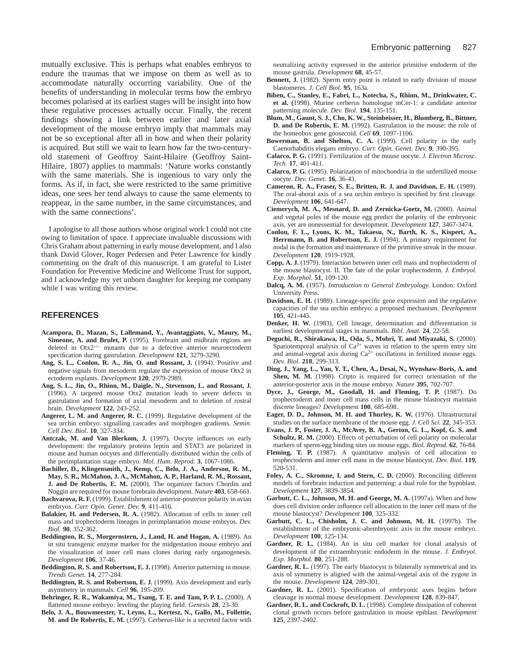mutually exclusive. This is perhaps what enables embryos to endure the traumas that we impose on them as well as to accommodate naturally occurring variability. One of the benefits of understanding in molecular terms how the embryo becomes polarised at its earliest stages will be insight into how these regulative processes actually occur. Finally, the recent findings showing a link between earlier and later axial development of the mouse embryo imply that mammals may not be so exceptional after all in how and when their polarity is acquired. But still we wait to learn how far the two-centuryold statement of Geoffroy Saint-Hilaire (Geoffroy Saint-Hilaire, 1807) applies to mammals: 'Nature works constantly with the same materials. She is ingenious to vary only the forms. As if, in fact, she were restricted to the same primitive ideas, one sees her tend always to cause the same elements to reappear, in the same number, in the same circumstances, and with the same connections'.

I apologise to all those authors whose original work I could not cite owing to limitation of space. I appreciate invaluable discussions with Chris Graham about patterning in early mouse development, and I also thank David Glover, Roger Pedersen and Peter Lawrence for kindly commenting on the draft of this manuscript. I am grateful to Lister Foundation for Preventive Medicine and Wellcome Trust for support, and I acknowledge my yet unborn daughter for keeping me company while I was writing this review.

# **REFERENCES**

- **Acampora, D., Mazan, S., Lallemand, Y., Avantaggiato, V., Maury, M.,** Simeone, A. and Brulet, P. (1995). Forebrain and midbrain regions are deleted in Otx2–/– mutants due to a defective anterior neuroectoderm specification during gastrulation. *Development* **121**, 3279-3290.
- **Ang, S. L., Conlon, R. A., Jin, O. and Rossant, J.** (1994). Positive and negative signals from mesoderm regulate the expression of mouse Otx2 in ectoderm explants. *Development* **120**, 2979-2989.
- **Ang, S. L., Jin, O., Rhinn, M., Daigle, N., Stevenson, L. and Rossant, J.** (1996). A targeted mouse Otx2 mutation leads to severe defects in gastrulation and formation of axial mesoderm and to deletion of rostral brain. *Development* **122**, 243-252.
- **Angerer, L. M. and Angerer, R. C.** (1999). Regulative development of the sea urchin embryo: signalling cascades and morphogen gradients. *Semin. Cell Dev. Biol*. **10**, 327-334.
- Antczak, M. and Van Blerkom, J. (1997). Oocyte influences on early development: the regulatory proteins leptin and STAT3 are polarized in mouse and human oocytes and differentially distributed within the cells of the preimplantation stage embryo. *Mol. Hum. Reprod.* **3**, 1067-1086.
- **Bachiller, D., Klingensmith, J., Kemp, C., Belo, J. A., Anderson, R. M., May, S. R., McMahon, J. A., McMahon, A. P., Harland, R. M., Rossant, J. and De Robertis, E. M.** (2000). The organizer factors Chordin and Noggin are required for mouse forebrain development. *Nature* **403**, 658-661.
- Bachvarova, R. F. (1999). Establishment of anterior-posterior polarity in avian embryos. *Curr. Opin. Genet. Dev.* **9**, 411-416.
- **Balakier, H. and Pedersen, R. A.** (1982). Allocation of cells to inner cell mass and trophectoderm lineages in preimplantation mouse embryos. *Dev. Biol.* **90**, 352-362.
- **Beddington, R. S., Morgernstern, J., Land, H. and Hogan, A.** (1989). An in situ transgenic enzyme marker for the midgestation mouse embryo and the visualization of inner cell mass clones during early organogenesis. *Development* **106**, 37-46.
- **Beddington, R. S. and Robertson, E. J.** (1998). Anterior patterning in mouse. *Trends Genet.* **14**, 277-284.
- **Beddington, R. S. and Robertson, E. J.** (1999). Axis development and early asymmetry in mammals. *Cell* **96**, 195-209.
- **Behringer, R. R., Wakamiya, M., Tsang, T. E. and Tam, P. P. L.** (2000). A flattened mouse embryo: leveling the playing field. *Genesis* **28**, 23-30.
- **Belo, J. A., Bouwmeester, T., Leyns, L., Kertesz, N., Gallo, M., Follettie, M. and De Robertis, E. M.** (1997). Cerberus-like is a secreted factor with

neutralizing activity expressed in the anterior primitive endoderm of the mouse gastrula. *Development* **68**, 45-57.

- **Bennett, J.** (1982). Sperm entry point is related to early division of mouse blastomeres. *J. Cell Biol.* **95**, 163a.
- **Biben, C., Stanley, E., Fabri, L., Kotecha, S., Rhinn, M., Drinkwater, C. et al. (**1998). Murine cerberus homologue mCer-1: a candidate anterior patterning molecule. *Dev. Biol.* **194**, 135-151.
- **Blum, M., Gaunt, S. J., Cho, K. W., Steinbeisser, H., Blumberg, B., Bittner, D. and De Robertis, E. M.** (1992). Gastrulation in the mouse: the role of the homeobox gene goosecoid. *Cell* **69**, 1097-1106.
- **Bowerman, B. and Shelton, C. A.** (1999). Cell polarity in the early Caenorhabditis elegans embryo. *Curr. Opin. Genet. Dev.* **9**, 390-395.
- **Calarco, P. G.** (1991). Fertilization of the mouse oocyte. *J. Electron Microsc. Tech.* **17**, 401-411.
- **Calarco, P. G.** (1995). Polarization of mitochondria in the unfertilized mouse oocyte. *Dev. Genet.* **16**, 36-43.
- **Cameron, R. A., Fraser, S. E., Britten, R. J. and Davidson, E. H.** (1989). The oral-aboral axis of a sea urchin embryo is specified by first cleavage. *Development* **106**, 641-647.
- **Ciemerych, M. A., Mesnard, D. and Zernicka-Goetz, M.** (2000). Animal and vegetal poles of the mouse egg predict the polarity of the embryonic axis, yet are nonessential for development. *Development* **127**, 3467-3474.
- **Conlon, F. L., Lyons, K. M., Takaesu, N., Barth, K. S., Kispert, A., Herrmann, B. and Robertson, E. J.** (1994). A primary requirement for nodal in the formation and maintenance of the primitive streak in the mouse. *Development* **120**, 1919-1928.
- **Copp, A. J.** (1979). Interaction between inner cell mass and trophectoderm of the mouse blastocyst. II. The fate of the polar trophectoderm. *J. Embryol. Exp. Morphol*. **51**, 109-120.
- **Dalcq, A. M.** (1957). *Introduction to General Embryology.* London: Oxford University Press.
- **Davidson, E. H.** (1989). Lineage-specific gene expression and the regulative capacities of the sea urchin embryo: a proposed mechanism. *Development* **105**, 421-445.
- **Denker, H. W.** (1983). Cell lineage, determination and differentiation in earliest developmental stages in mammals. *Bibl. Anat.* **24**, 22-58.
- **Deguchi, R., Shirakawa, H., Oda, S., Mohri, T. and Miyazaki, S.** (2000). Spatiotemporal analysis of  $Ca^{2+}$  waves in relation to the sperm entry site and animal-vegetal axis during  $Ca^{2+}$  oscillations in fertilized mouse eggs. *Dev. Biol.* **218**, 299-313.
- **Ding, J., Yang, L., Yan, Y. T., Chen, A., Desai, N., Wynshaw-Boris, A. and Shen, M. M.** (1998). Cripto is required for correct orientation of the anterior-posterior axis in the mouse embryo. *Nature* **395**, 702-707.
- **Dyce, J., George, M., Goodall, H. and Fleming, T. P.** (1987). Do trophectoderm and inner cell mass cells in the mouse blastocyst maintain discrete lineages? *Development* **100**, 685-698.
- Eager, D. D., Johnson, M. H. and Thurley, K. W. (1976). Ultrastructural studies on the surface membrane of the mouse egg. *J. Cell Sci.* **22**, 345-353.
- **Evans, J. P., Foster, J. A., McAvey, B. A., Gerton, G. L., Kopf, G. S. and** Schultz, R. M. (2000). Effects of perturbation of cell polarity on molecular markers of sperm-egg binding sites on mouse eggs. *Biol. Reprod.* **62**, 76-84.
- **Fleming, T. P.** (1987). A quantitative analysis of cell allocation to trophectoderm and inner cell mass in the mouse blastocyst. *Dev. Biol.* **119**, 520-531.
- Foley, A. C., Skromne, I. and Stern, C. D. (2000). Reconciling different models of forebrain induction and patterning: a dual role for the hypoblast. *Development* **127**, 3839-3854.
- Garbutt, C. L., Johnson, M. H. and George, M. A. (1997a). When and how does cell division order influence cell allocation to the inner cell mass of the mouse blastocyst? *Development* **100**, 325-332.
- Garbutt, C. L., Chisholm, J. C. and Johnson, M. H. (1997b). The establishment of the embryonic-abembryonic axis in the mouse embryo. *Development* **100**, 125-134.
- Gardner, R. L. (1984). An in situ cell marker for clonal analysis of development of the extraembryonic endoderm in the mouse. *J. Embryol. Exp. Morphol.* **80**, 251-288.
- Gardner, R. L. (1997). The early blastocyst is bilaterally symmetrical and its axis of symmetry is aligned with the animal-vegetal axis of the zygote in the mouse. *Development* **124**, 289-301.
- Gardner, R. L. (2001). Specification of embryonic axes begins before cleavage in normal mouse development. *Development* **128**, 839-847.
- Gardner, R. L. and Cockroft, D. L. (1998). Complete dissipation of coherent clonal growth occurs before gastrulation in mouse epiblast. *Development* **125**, 2397-2402.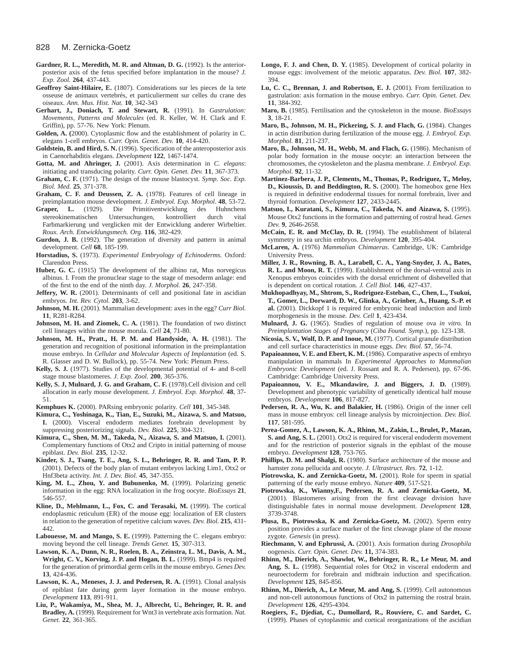#### 828 M. Zernicka-Goetz

- Gardner, R. L., Meredith, M. R. and Altman, D. G. (1992). Is the anteriorposterior axis of the fetus specified before implantation in the mouse? *J. Exp. Zool.* **264**, 437-443.
- **Geoffroy Saint-Hilaire, E.** (1807). Considerations sur les pieces de la tete osseuse de animaux vertebrés, et particulierment sur celles du crane des oiseaux. *Ann. Mus. Hist. Nat.* **10**, 342-343
- **Gerhart, J., Doniach, T. and Stewart, R.** (1991). In *Gastrulation: Movements, Patterns and Molecules* (ed. R. Keller, W. H. Clark and F. Griffin), pp. 57-76. New York: Plenum.
- **Golden, A. (**2000). Cytoplasmic flow and the establishment of polarity in C. elegans 1-cell embryos. *Curr. Opin. Genet. Dev.* **10**, 414-420.
- **Goldstein, B. and Hird, S. N.** (1996). Specification of the anteroposterior axis in Caenorhabditis elegans. *Development* **122**, 1467-1474.
- **Gotta, M. and Ahringer, J.** (2001). Axis determination in *C. elegans*: initiating and transducing polarity. *Curr. Opin. Genet. Dev.* **11**, 367-373.
- **Graham, C. F.** (1971). The design of the mouse blastocyst. *Symp. Soc. Exp. Biol. Med.* **25**, 371-378.
- **Graham, C. F. and Deussen, Z. A.** (1978). Features of cell lineage in preimplantation mouse development. *J. Embryol. Exp. Morphol*. **48**, 53-72.
- **Graper, L.** (1929). Die Primitiventwicklung des Huhnchens stereokinematischen Untersuchungen, kontrolliert durch vital Farbmarkierung und verglicken mit der Entwicklung anderer Wirbeltier. *Roux. Arch. Entwicklungsmech. Org.* **116**, 382-429.
- **Gurdon, J. B.** (1992). The generation of diversity and pattern in animal development. *Cell* **68**, 185-199.
- **Horstadius, S.** (1973). *Experimental Embryology of Echinoderms.* Oxford: Clarendon Press.
- **Huber, G. C.** (1915) The development of the albino rat, Mus norvegicus albinus. I. From the pronuclear stage to the stage of mesoderm anlage: end of the first to the end of the ninth day. *J. Morphol.* **26**, 247-358.
- Jeffery, W. R. (2001). Determinants of cell and positional fate in ascidian embryos. *Int. Rev. Cytol.* **203**, 3-62.
- **Johnson, M. H.** (2001). Mammalian development: axes in the egg? *Curr Biol.* **11**, R281-R284.
- Johnson, M. H. and Ziomek, C. A. (1981). The foundation of two distinct cell lineages within the mouse morula. *Cell* **24**, 71-80.
- **Johnson, M. H., Pratt., H. P. M. and Handyside, A. H.** (1981). The generation and recognition of positional information in the preimplantation mouse embryo. In *Cellular and Molecular Aspects of Implantation* (ed. S. R. Glasser and D. W. Bullock), pp. 55-74. New York: Plenum Press.
- **Kelly, S. J.** (1977). Studies of the developmental potential of 4- and 8-cell stage mouse blastomeres. *J. Exp. Zool.* **200**, 365-376.
- **Kelly, S. J, Mulnard, J. G. and Graham, C. F.** (1978).Cell division and cell allocation in early mouse development. *J. Embryol. Exp. Morphol*. **48**, 37- 51.
- **Kemphues K.** (2000). PARsing embryonic polarity. *Cell* **101**, 345-348.
- **Kimura, C., Yoshinaga, K., Tian, E., Suzuki, M., Aizawa, S. and Matsuo, I.** (2000). Visceral endoderm mediates forebrain development by suppressing posteriorizing signals. *Dev. Biol.* **225**, 304-321.
- **Kimura, C., Shen, M. M., Takeda, N., Aizawa, S. and Matsuo, I.** (2001). Complementary functions of Otx2 and Cripto in initial patterning of mouse epiblast. *Dev. Biol.* **235**, 12-32.
- **Kinder, S. J., Tsang, T. E., Ang, S. L., Behringer, R. R. and Tam, P. P.** (2001). Defects of the body plan of mutant embryos lacking Lim1, Otx2 or Hnf3beta activity. *Int. J. Dev. Biol.* **45**, 347-355.
- **King, M. L., Zhou, Y. and Bubunenko, M.** (1999). Polarizing genetic information in the egg: RNA localization in the frog oocyte. *BioEssays* **21**, 546-557.
- Kline, D., Mehlmann, L., Fox, C. and Terasaki, M. (1999). The cortical endoplasmic reticulum (ER) of the mouse egg: localization of ER clusters in relation to the generation of repetitive calcium waves. *Dev. Biol.* **215**, 431- 442.
- **Labouesse, M. and Mango, S. E.** (1999). Patterning the C. elegans embryo: moving beyond the cell lineage. *Trends Genet.* **15**, 307-313.
- **Lawson, K. A., Dunn, N. R., Roelen, B. A., Zeinstra, L. M., Davis, A. M., Wright, C. V., Korving, J. P. and Hogan, B. L.** (1999). Bmp4 is required for the generation of primordial germ cells in the mouse embryo. *Genes Dev.* **13**, 424-436.
- Lawson, K. A., Meneses, J. J. and Pedersen, R. A. (1991). Clonal analysis of epiblast fate during germ layer formation in the mouse embryo. *Development* **113**, 891-911.
- **Liu, P., Wakamiya, M., Shea, M. J., Albrecht, U., Behringer, R. R. and Bradley, A.** (1999). Requirement for Wnt3 in vertebrate axis formation. *Nat. Genet.* **22**, 361-365.
- **Longo, F. J. and Chen, D. Y.** (1985). Development of cortical polarity in mouse eggs: involvement of the meiotic apparatus. *Dev. Biol.* **107**, 382- 394.
- Lu, C. C., Brennan, J. and Robertson, E. J. (2001). From fertilization to gastrulation: axis formation in the mouse embryo. *Curr. Opin. Genet. Dev.* **11**, 384-392.
- **Maro, B.** (1985). Fertilisation and the cytoskeleton in the mouse. *BioEssays* **3**, 18-21.
- Maro, B., Johnson, M. H., Pickering, S. J. and Flach, G. (1984). Changes in actin distribution during fertilization of the mouse egg. *J. Embryol. Exp. Morphol.* **81**, 211-237.
- Maro, B., Johnson, M. H., Webb, M. and Flach, G. (1986). Mechanism of polar body formation in the mouse oocyte: an interaction between the chromosomes, the cytoskeleton and the plasma membrane. *J. Embryol. Exp. Morphol.* **92**, 11-32.
- **Martinez-Barbera, J. P., Clements, M., Thomas, P., Rodriguez, T., Meloy, D., Kioussis, D. and Beddington, R. S.** (2000). The homeobox gene Hex is required in definitive endodermal tissues for normal forebrain, liver and thyroid formation. *Development* **127**, 2433-2445.
- **Matsuo, I., Kuratani, S., Kimura, C., Takeda, N. and Aizawa, S.** (1995). Mouse Otx2 functions in the formation and patterning of rostral head. *Genes Dev.* **9**, 2646-2658.
- **McCain, E. R. and McClay, D. R.** (1994). The establishment of bilateral symmetry in sea urchin embryos. *Development* **120**, 395-404.
- **McLaren, A.** (1976) *Mammalian Chimaeras*. Cambridge, UK: Cambridge University Press.
- **Miller, J. R., Rowning, B. A., Larabell, C. A., Yang-Snyder, J. A., Bates, R. L. and Moon, R. T.** (1999). Establishment of the dorsal-ventral axis in Xenopus embryos coincides with the dorsal enrichment of dishevelled that is dependent on cortical rotation. *J. Cell Biol.* **146**, 427-437.
- **Mukhopadhyay, M., Shtrom, S., Rodriguez-Esteban, C., Chen, L., Tsukui, T., Gomer, L., Dorward, D. W., Glinka, A., Grinber, A., Huang, S.-P. et al.** (2001). Dickkopf 1 is required for embryonic head induction and limb morphogenesis in the mouse. *Dev. Cell* **1**, 423-434.
- **Mulnard, J. G.** (1965). Studies of regulation of mouse ova *in vitro.* In *Preimplantation Stages of Pregnancy* (*Ciba Found. Symp.*), pp. 123-138.
- **Nicosia, S. V., Wolf, D. P. and Inoue, M.** (1977). Cortical granule distribution and cell surface characteristics in mouse eggs. *Dev. Biol.* **57**, 56-74.
- Papaioannou, V. E. and Ebert, K. M. (1986). Comparative aspects of embryo manipulation in mammals In *Experimental Approaches to Mammalian Embryonic Development* (ed. J. Rossant and R. A. Pedersen), pp. 67-96. Cambridge: Cambridge University Press.
- **Papaioannou, V. E., Mkandawire, J. and Biggers, J. D.** (1989). Development and phenotypic variability of genetically identical half mouse embryos. *Development* **106**, 817-827.
- **Pedersen, R. A., Wu, K. and Balakier, H.** (1986). Origin of the inner cell mass in mouse embryos: cell lineage analysis by microinjection. *Dev. Biol.* **117**, 581-595.
- **Perea-Gomez, A., Lawson, K. A., Rhinn, M., Zakin, L., Brulet, P., Mazan, S. and Ang, S. L.** (2001). Otx2 is required for visceral endoderm movement and for the restriction of posterior signals in the epiblast of the mouse embryo. *Development* **128**, 753-765.
- Phillips, D. M. and Shalgi, R. (1980). Surface architecture of the mouse and hamster zona pellucida and oocyte. *J. Ultrastruct. Res.* **72**, 1-12.
- Piotrowska, K. and Zernicka-Goetz, M. (2001). Role for sperm in spatial patterning of the early mouse embryo. *Nature* **409**, 517-521.
- **Piotrowska, K., Wianny,F., Pedersen, R. A. and Zernicka-Goetz, M.** (2001). Blastomeres arising from the first cleavage division have distinguishable fates in normal mouse development. *Development* **128**, 3739-3748.
- Plusa, B., Piotrowska, K and Zernicka-Goetz, M. (2002). Sperm entry position provides a surface marker of the first cleavage plane of the mouse zygote. *Genesis* (in press).
- **Riechmann, V. and Ephrussi, A.** (2001). Axis formation during *Drosophila* oogenesis. *Curr. Opin. Genet. Dev.* **11,** 374-383.
- **Rhinn, M., Dierich, A., Shawlot, W., Behringer, R. R., Le Meur, M. and** Ang, S. L. (1998). Sequential roles for Otx2 in visceral endoderm and neuroectoderm for forebrain and midbrain induction and specification. *Development* **125**, 845-856.
- **Rhinn, M., Dierich, A., Le Meur, M. and Ang, S.** (1999). Cell autonomous and non-cell autonomous functions of Otx2 in patterning the rostral brain. *Development* **126**, 4295-4304.
- **Roegiers, F., Djediat, C., Dumollard, R., Rouviere, C. and Sardet, C.** (1999). Phases of cytoplasmic and cortical reorganizations of the ascidian